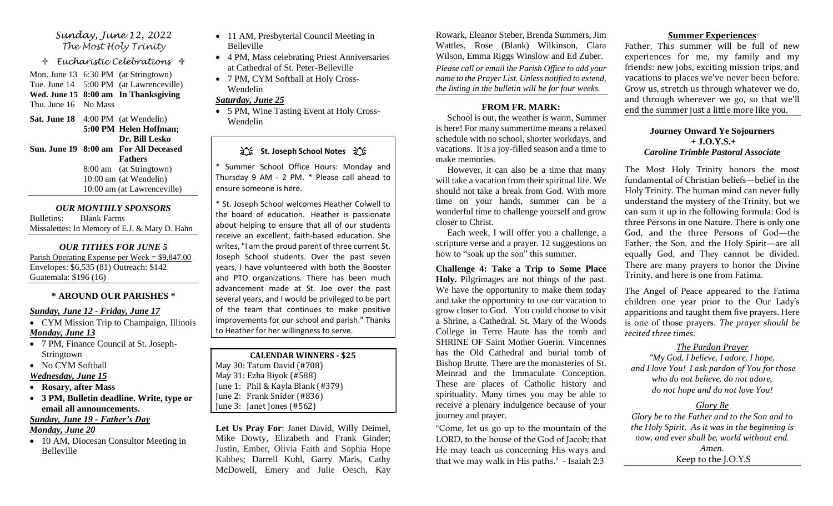#### *Sunday, June 12, 2022 The Most Holy Trinity*

 *Eucharistic Celebrations* 

Mon. June 13 6:30 PM (at Stringtown) Tue. June 14 5:00 PM (at Lawrenceville) **Wed. June 15 8:00 am In Thanksgiving** Thu. June 16 No Mass

**Sat. June 18** 4:00 PM (at Wendelin) **5:00 PM Helen Hoffman; Dr. Bill Lesko Sun. June 19 8:00 am For All Deceased Fathers** 8:00 am (at Stringtown) 10:00 am (at Wendelin) 10:00 am (at Lawrenceville)

*OUR MONTHLY SPONSORS* Bulletins: Blank Farms Missalettes: In Memory of E.J. & Mary D. Hahn

*OUR TITHES FOR JUNE 5* Parish Operating Expense per Week = \$9,847.00 Envelopes: \$6,535 (81) Outreach: \$142 Guatemala: \$196 (16)

## **\* AROUND OUR PARISHES \***

#### *Sunday, June 12 - Friday, June 17*

- CYM Mission Trip to Champaign, Illinois *Monday, June 13*
- 7 PM, Finance Council at St. Joseph-Stringtown

• No CYM Softball

- *Wednesday, June 15*
- **Rosary, after Mass**
- **3 PM, Bulletin deadline. Write, type or email all announcements.**

# *Sunday, June 19 - Father's Day*

## *Monday, June 20*

• 10 AM, Diocesan Consultor Meeting in Belleville

- 11 AM, Presbyterial Council Meeting in Belleville
- 4 PM, Mass celebrating Priest Anniversaries at Cathedral of St. Peter-Belleville
- 7 PM, CYM Softball at Holy Cross-Wendelin

## *Saturday, June 25*

• 5 PM, Wine Tasting Event at Holy Cross-Wendelin

# **江、St. Joseph School Notes** 江、

\* Summer School Office Hours: Monday and Thursday 9 AM - 2 PM. \* Please call ahead to ensure someone is here.

\* St. Joseph School welcomes Heather Colwell to the board of education. Heather is passionate about helping to ensure that all of our students receive an excellent, faith-based education. She writes, "I am the proud parent of three current St. Joseph School students. Over the past seven years, I have volunteered with both the Booster and PTO organizations. There has been much advancement made at St. Joe over the past several years, and I would be privileged to be part of the team that continues to make positive improvements for our school and parish." Thanks to Heather for her willingness to serve.

**CALENDAR WINNERS - \$25** May 30: Tatum David (#708) May 31: Ezha Biyok (#588) June 1: Phil & Kayla Blank (#379) June 2: Frank Snider (#836) June 3: Janet Jones (#562)

**Let Us Pray For**: Janet David, Willy Deimel, Mike Dowty, Elizabeth and Frank Ginder; Justin, Ember, Olivia Faith and Sophia Hope Kabbes; Darrell Kuhl, Garry Maris, Cathy McDowell, Emery and Julie Oesch, Kay

Rowark, Eleanor Steber, Brenda Summers, Jim Wattles, Rose (Blank) Wilkinson, Clara Wilson, Emma Riggs Winslow and Ed Zuber. *Please call or email the Parish Office to add your name to the Prayer List. Unless notified to extend, the listing in the bulletin will be for four weeks.*

#### **FROM FR. MARK:**

 School is out, the weather is warm, Summer is here! For many summertime means a relaxed schedule with no school, shorter workdays, and vacations. It is a joy-filled season and a time to make memories.

 However, it can also be a time that many will take a vacation from their spiritual life. We should not take a break from God. With more time on your hands, summer can be a wonderful time to challenge yourself and grow closer to Christ.

 Each week, I will offer you a challenge, a scripture verse and a prayer. 12 suggestions on how to "soak up the son" this summer.

#### **Challenge 4: Take a Trip to Some Place Holy.** Pilgrimages are not things of the past.

We have the opportunity to make them today and take the opportunity to use our vacation to grow closer to God. You could choose to visit a Shrine, a Cathedral. St. Mary of the Woods College in Terre Haute has the tomb and SHRINE OF Saint Mother Guerin. Vincennes has the Old Cathedral and burial tomb of Bishop Brutte. There are the monasteries of St. Meinrad and the Immaculate Conception. These are places of Catholic history and spirituality. Many times you may be able to receive a plenary indulgence because of your journey and prayer.

"Come, let us go up to the mountain of the LORD, to the house of the God of Jacob; that He may teach us concerning His ways and that we may walk in His paths." - Isaiah 2:3

#### **Summer Experiences**

Father, This summer will be full of new experiences for me, my family and my friends: new jobs, exciting mission trips, and vacations to places we've never been before. Grow us, stretch us through whatever we do, and through wherever we go, so that we'll end the summer just a little more like you.

#### **Journey Onward Ye Sojourners + J.O.Y.S.+**  *Caroline Trimble Pastoral Associate*

The Most Holy Trinity honors the most fundamental of Christian beliefs—belief in the Holy Trinity. The human mind can never fully understand the mystery of the Trinity, but we can sum it up in the following formula: God is three Persons in one Nature. There is only one God, and the three Persons of God—the Father, the Son, and the Holy Spirit—are all equally God, and They cannot be divided. There are many prayers to honor the Divine Trinity, and here is one from Fatima.

The Angel of Peace appeared to the Fatima children one year prior to the Our Lady's apparitions and taught them five prayers. Here is one of those prayers. *The prayer should be recited three times:*

## *The Pardon Prayer*

*"My God, I believe, I adore, I hope, and I love You! I ask pardon of You for those who do not believe, do not adore, do not hope and do not love You!*

## *Glory Be*

*Glory be to the Father and to the Son and to the Holy Spirit. As it was in the beginning is now, and ever shall be, world without end. Amen.* Keep to the J.O.Y.S